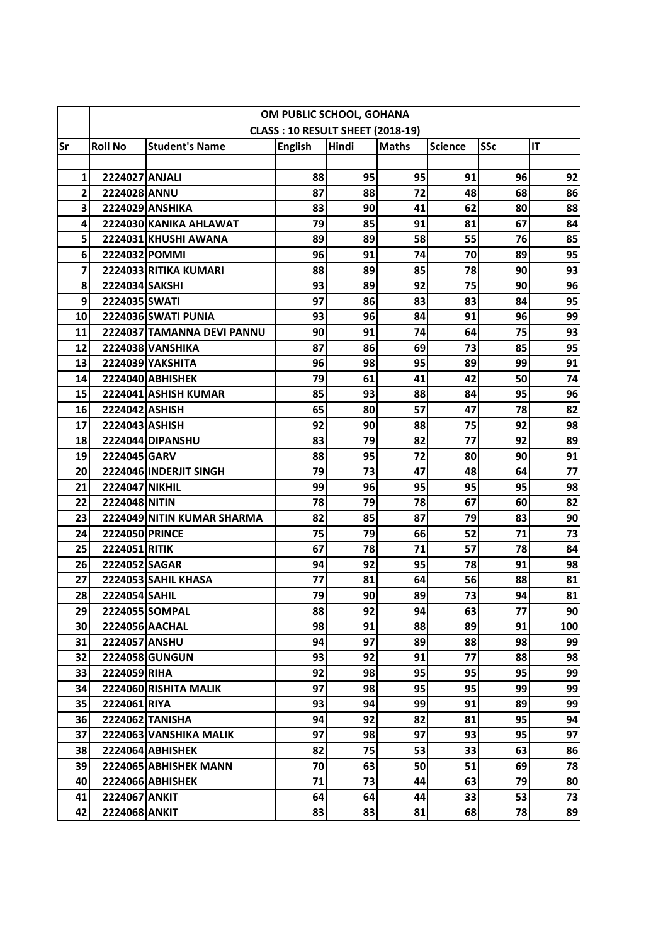|          | OM PUBLIC SCHOOL, GOHANA<br><b>CLASS: 10 RESULT SHEET (2018-19)</b> |                            |                |          |              |                |            |           |
|----------|---------------------------------------------------------------------|----------------------------|----------------|----------|--------------|----------------|------------|-----------|
| Sr       | <b>Roll No</b>                                                      | <b>Student's Name</b>      |                | Hindi    | <b>Maths</b> | <b>Science</b> | <b>SSc</b> | IT        |
|          |                                                                     |                            | <b>English</b> |          |              |                |            |           |
| 1        | 2224027 ANJALI                                                      |                            | 88             | 95       | 95           | 91             | 96         | 92        |
| 2        | 2224028 ANNU                                                        |                            | 87             | 88       | 72           | 48             | 68         | 86        |
| 3        |                                                                     | 2224029 ANSHIKA            | 83             | 90       | 41           | 62             | 80         | 88        |
| 4        |                                                                     | 2224030 KANIKA AHLAWAT     | 79             | 85       | 91           | 81             | 67         | 84        |
| 5        |                                                                     | 2224031 KHUSHI AWANA       | 89             | 89       | 58           | 55             | 76         | 85        |
| 6        | 2224032 POMMI                                                       |                            | 96             | 91       | 74           | 70             | 89         | 95        |
| 7        |                                                                     | 2224033 RITIKA KUMARI      | 88             | 89       | 85           | 78             | 90         | 93        |
| 8        | 2224034 SAKSHI                                                      |                            | 93             | 89       | 92           | 75             | 90         | 96        |
| 9        | 2224035 SWATI                                                       |                            | 97             | 86       | 83           | 83             | 84         | 95        |
| 10       |                                                                     | 2224036 SWATI PUNIA        | 93             | 96       | 84           | 91             | 96         | 99        |
| 11       |                                                                     | 2224037 TAMANNA DEVI PANNU | 90             | 91       | 74           | 64             | 75         | 93        |
| 12       |                                                                     | 2224038 VANSHIKA           | 87             | 86       | 69           | 73             | 85         | 95        |
| 13       |                                                                     | 2224039 YAKSHITA           | 96             | 98       | 95           | 89             | 99         | 91        |
| 14       |                                                                     | 2224040 ABHISHEK           | 79             | 61       | 41           | 42             | 50         | 74        |
| 15       |                                                                     | 2224041 ASHISH KUMAR       | 85             | 93       | 88           | 84             | 95         | 96        |
| 16       | 2224042 ASHISH                                                      |                            | 65             | 80       | 57           | 47             | 78         | 82        |
| 17       | 2224043 ASHISH                                                      |                            | 92             | 90       | 88           | 75             | 92         | 98        |
| 18       |                                                                     | 2224044 DIPANSHU           | 83             | 79       | 82           | 77             | 92         | 89        |
| 19       | 2224045 GARV                                                        |                            | 88             | 95       | 72           | 80             | 90         | 91        |
| 20       |                                                                     | 2224046 INDERJIT SINGH     | 79             | 73       | 47           | 48             | 64         | 77        |
| 21       | 2224047 NIKHIL                                                      |                            | 99             | 96       | 95           | 95             | 95         | 98        |
| 22       | 2224048 NITIN                                                       |                            | 78             | 79       | 78           | 67             | 60         | 82        |
| 23       |                                                                     | 2224049 NITIN KUMAR SHARMA | 82             | 85       | 87           | 79             | 83         | 90        |
| 24       | 2224050 PRINCE                                                      |                            | 75             | 79       | 66           | 52             | 71         | 73        |
| 25       | 2224051 RITIK                                                       |                            | 67             | 78       | 71           | 57             | 78         | 84        |
| 26       | 2224052 SAGAR                                                       |                            | 94             | 92       | 95           | 78             | 91         | 98        |
| 27       |                                                                     | 2224053 SAHIL KHASA        | 77             | 81       | 64           | 56             | 88         | 81        |
| 28       | <b>2224054 SAHIL</b>                                                |                            | 79             | 90       | 89           | 73             | 94         | 81        |
| 29       |                                                                     | 2224055 SOMPAL             | 88             | 92       | 94           | 63             |            |           |
| 30       |                                                                     | 2224056 AACHAL             | 98             | 91       | 88           | 89             | 77<br>91   | 90<br>100 |
| 31       | 2224057 ANSHU                                                       |                            | 94             | 97       | 89           | 88             | 98         | 99        |
| 32       |                                                                     | 2224058 GUNGUN             | 93             | 92       | 91           | 77             | 88         | 98        |
| 33       | 2224059 RIHA                                                        |                            | 92             | 98       | 95           | 95             | 95         | 99        |
| 34       |                                                                     | 2224060 RISHITA MALIK      | 97             | 98       | 95           | 95             | 99         | 99        |
| 35       | 2224061 RIYA                                                        |                            | 93             | 94       | 99           | 91             | 89         | 99        |
| 36       |                                                                     | 2224062 TANISHA            | 94             | 92       | 82           | 81             | 95         | 94        |
| 37       |                                                                     | 2224063 VANSHIKA MALIK     | 97             | 98       | 97           | 93             | 95         | 97        |
|          |                                                                     |                            | 82             |          | 53           | 33             |            |           |
| 38<br>39 |                                                                     | 2224064 ABHISHEK           |                | 75<br>63 | 50           | 51             | 63         | 86        |
|          |                                                                     | 2224065 ABHISHEK MANN      | 70             |          |              |                | 69         | 78        |
| 40       | 2224067 ANKIT                                                       | <b>2224066 ABHISHEK</b>    | 71<br>64       | 73       | 44<br>44     | 63<br>33       | 79<br>53   | 80<br>73  |
| 41       |                                                                     |                            |                | 64       |              |                |            |           |
| 42       | 2224068 ANKIT                                                       |                            | 83             | 83       | 81           | 68             | 78         | 89        |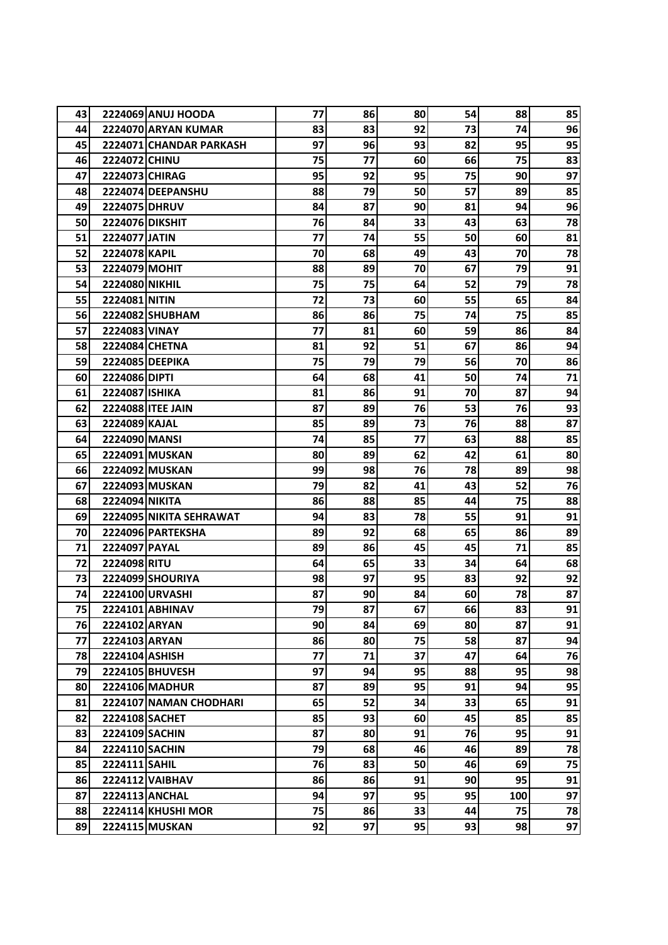| 43 |                 | <b>2224069 ANUJ HOODA</b> | 77 | 86 | 80 | 54 | 88  | 85 |
|----|-----------------|---------------------------|----|----|----|----|-----|----|
| 44 |                 | 2224070 ARYAN KUMAR       | 83 | 83 | 92 | 73 | 74  | 96 |
| 45 |                 | 2224071 CHANDAR PARKASH   | 97 | 96 | 93 | 82 | 95  | 95 |
| 46 | 2224072 CHINU   |                           | 75 | 77 | 60 | 66 | 75  | 83 |
| 47 | 2224073 CHIRAG  |                           | 95 | 92 | 95 | 75 | 90  | 97 |
| 48 |                 | 2224074 DEEPANSHU         | 88 | 79 | 50 | 57 | 89  | 85 |
| 49 | 2224075 DHRUV   |                           | 84 | 87 | 90 | 81 | 94  | 96 |
| 50 | 2224076 DIKSHIT |                           | 76 | 84 | 33 | 43 | 63  | 78 |
| 51 | 2224077 JATIN   |                           | 77 | 74 | 55 | 50 | 60  | 81 |
| 52 | 2224078 KAPIL   |                           | 70 | 68 | 49 | 43 | 70  | 78 |
| 53 | 2224079 MOHIT   |                           | 88 | 89 | 70 | 67 | 79  | 91 |
| 54 | 2224080 NIKHIL  |                           | 75 | 75 | 64 | 52 | 79  | 78 |
| 55 | 2224081 NITIN   |                           | 72 | 73 | 60 | 55 | 65  | 84 |
| 56 |                 | 2224082 SHUBHAM           | 86 | 86 | 75 | 74 | 75  | 85 |
| 57 | 2224083 VINAY   |                           | 77 | 81 | 60 | 59 | 86  | 84 |
| 58 |                 | 2224084 CHETNA            | 81 | 92 | 51 | 67 | 86  | 94 |
| 59 |                 | 2224085 DEEPIKA           | 75 | 79 | 79 | 56 | 70  | 86 |
| 60 | 2224086 DIPTI   |                           | 64 | 68 | 41 | 50 | 74  | 71 |
| 61 | 2224087 ISHIKA  |                           | 81 | 86 | 91 | 70 | 87  | 94 |
| 62 |                 | 2224088 ITEE JAIN         | 87 | 89 | 76 | 53 | 76  | 93 |
| 63 | 2224089 KAJAL   |                           | 85 | 89 | 73 | 76 | 88  | 87 |
| 64 | 2224090 MANSI   |                           | 74 | 85 | 77 | 63 | 88  | 85 |
| 65 |                 | 2224091 MUSKAN            | 80 | 89 | 62 | 42 | 61  | 80 |
| 66 |                 | 2224092 MUSKAN            | 99 | 98 | 76 | 78 | 89  | 98 |
| 67 |                 | 2224093 MUSKAN            | 79 | 82 | 41 | 43 | 52  | 76 |
| 68 | 2224094 NIKITA  |                           | 86 | 88 | 85 | 44 | 75  | 88 |
| 69 |                 | 2224095 NIKITA SEHRAWAT   | 94 | 83 | 78 | 55 | 91  | 91 |
| 70 |                 | 2224096 PARTEKSHA         | 89 | 92 | 68 | 65 | 86  | 89 |
| 71 | 2224097 PAYAL   |                           | 89 | 86 | 45 | 45 | 71  | 85 |
| 72 | 2224098 RITU    |                           | 64 | 65 | 33 | 34 | 64  | 68 |
| 73 |                 | <b>2224099 SHOURIYA</b>   | 98 | 97 | 95 | 83 | 92  | 92 |
| 74 |                 | 2224100 URVASHI           | 87 | 90 | 84 | 60 | 78  | 87 |
| 75 |                 | 2224101 ABHINAV           | 79 | 87 | 67 | 66 | 83  | 91 |
| 76 | 2224102 ARYAN   |                           | 90 | 84 | 69 | 80 | 87  | 91 |
| 77 | 2224103 ARYAN   |                           | 86 | 80 | 75 | 58 | 87  | 94 |
| 78 | 2224104 ASHISH  |                           | 77 | 71 | 37 | 47 | 64  | 76 |
| 79 |                 | 2224105 BHUVESH           | 97 | 94 | 95 | 88 | 95  | 98 |
| 80 |                 | 2224106 MADHUR            | 87 | 89 | 95 | 91 | 94  | 95 |
| 81 |                 | 2224107 NAMAN CHODHARI    | 65 | 52 | 34 | 33 | 65  | 91 |
| 82 | 2224108 SACHET  |                           | 85 | 93 | 60 | 45 | 85  | 85 |
| 83 | 2224109 SACHIN  |                           | 87 | 80 | 91 | 76 | 95  | 91 |
| 84 | 2224110 SACHIN  |                           | 79 | 68 | 46 | 46 | 89  | 78 |
| 85 | 2224111 SAHIL   |                           | 76 | 83 | 50 | 46 | 69  | 75 |
| 86 |                 | 2224112 VAIBHAV           | 86 | 86 | 91 | 90 | 95  | 91 |
| 87 |                 | 2224113 ANCHAL            | 94 | 97 | 95 | 95 | 100 | 97 |
| 88 |                 | 2224114 KHUSHI MOR        | 75 | 86 | 33 | 44 | 75  | 78 |
| 89 |                 | 2224115 MUSKAN            | 92 | 97 | 95 | 93 | 98  | 97 |